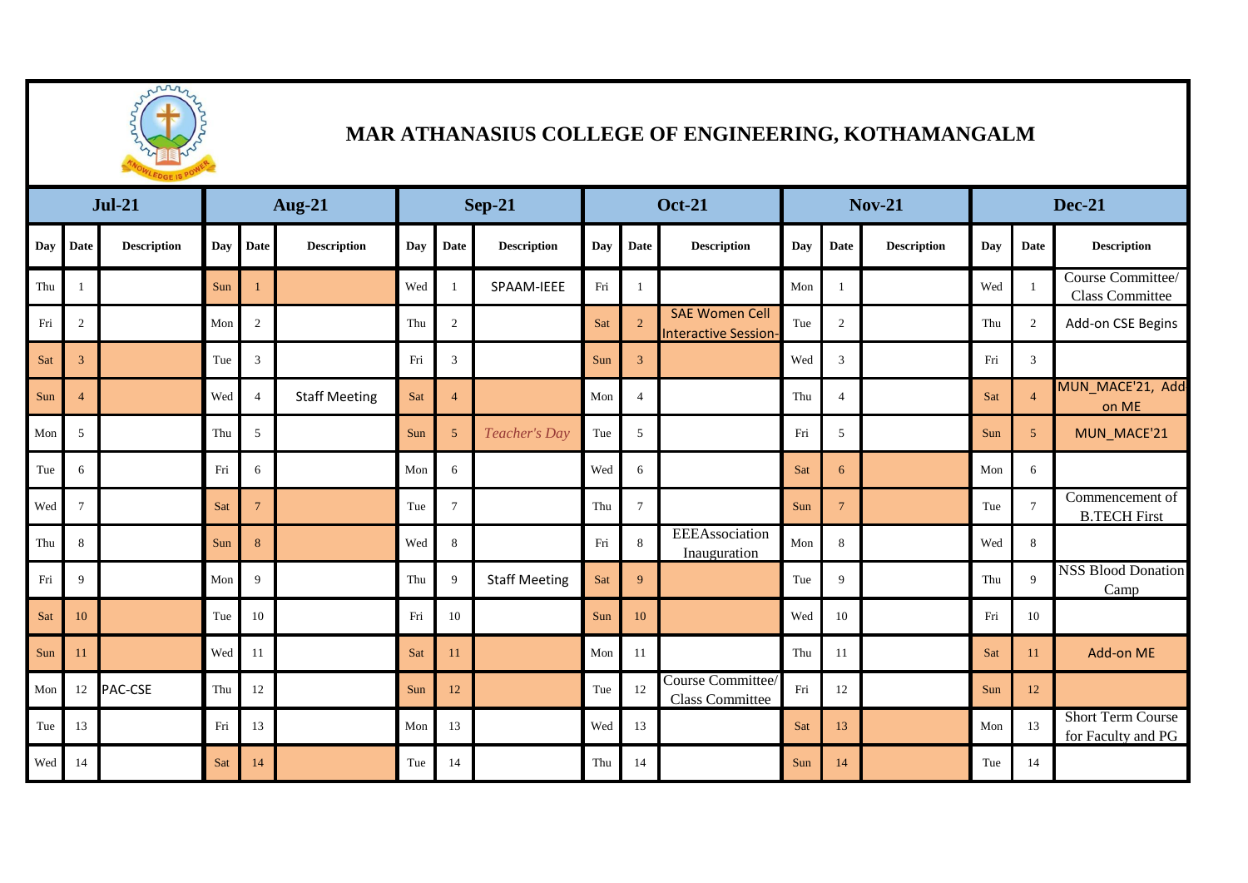

## **MAR ATHANASIUS COLLEGE OF ENGINEERING, KOTHAMANGALM**

| $Jul-21$ |                |                    | <b>Aug-21</b> |                 |                      | <b>Sep-21</b> |                 |                      | <b>Oct-21</b> |                |                                                      | <b>Nov-21</b> |                 |                    | <b>Dec-21</b> |                 |                                                |
|----------|----------------|--------------------|---------------|-----------------|----------------------|---------------|-----------------|----------------------|---------------|----------------|------------------------------------------------------|---------------|-----------------|--------------------|---------------|-----------------|------------------------------------------------|
| Day      | <b>Date</b>    | <b>Description</b> | Day           | <b>Date</b>     | <b>Description</b>   | Day           | Date            | <b>Description</b>   | Day           | <b>Date</b>    | <b>Description</b>                                   | Day           | Date            | <b>Description</b> | Dav           | Date            | <b>Description</b>                             |
| Thu      |                |                    | Sun           |                 |                      | Wed           | - 1             | SPAAM-IEEE           | Fri           | $\overline{1}$ |                                                      | Mon           | $\overline{1}$  |                    | Wed           |                 | Course Committee/<br>Class Committee           |
| Fri      | 2              |                    | Mon           | 2               |                      | Thu           | 2               |                      | Sat           | $\overline{2}$ | <b>SAE Women Cell</b><br><b>Interactive Session-</b> | Tue           | 2               |                    | Thu           | 2               | Add-on CSE Begins                              |
| Sat      | 3              |                    | Tue           | 3               |                      | Fri           | 3               |                      | Sun           | $\mathbf{3}$   |                                                      | Wed           | $\mathbf{3}$    |                    | Fri           | 3               |                                                |
| Sun      | $\overline{4}$ |                    | Wed           | $\overline{4}$  | <b>Staff Meeting</b> | Sat           | $\overline{4}$  |                      | Mon           | $\overline{4}$ |                                                      | Thu           | $\overline{4}$  |                    | Sat           | $\overline{4}$  | MUN_MACE'21, Add<br>on ME                      |
| Mon      | 5              |                    | Thu           | 5               |                      | Sun           | 5               | Teacher's Day        | Tue           | 5              |                                                      | Fri           | 5               |                    | Sun           | $5\overline{)}$ | MUN_MACE'21                                    |
| Tue      | 6              |                    | Fri           | 6               |                      | Mon           | 6               |                      | Wed           | 6              |                                                      | Sat           | 6               |                    | Mon           | 6               |                                                |
| Wed      | $\tau$         |                    | Sat           | $7\phantom{.0}$ |                      | Tue           | $7\phantom{.0}$ |                      | Thu           | $\tau$         |                                                      | Sun           | $7\overline{ }$ |                    | Tue           | $7\phantom{.0}$ | Commencement of<br><b>B.TECH First</b>         |
| Thu      | 8              |                    | Sun           | 8               |                      | Wed           | 8               |                      | Fri           | 8              | EEEAssociation<br>Inauguration                       | Mon           | 8               |                    | Wed           | 8               |                                                |
| Fri      | 9              |                    | Mon           | $\mathbf{Q}$    |                      | Thu           | 9               | <b>Staff Meeting</b> | Sat           | 9              |                                                      | Tue           | 9               |                    | Thu           | 9               | <b>NSS Blood Donation</b><br>Camp              |
| Sat      | 10             |                    | Tue           | 10              |                      | Fri           | 10              |                      | Sun           | 10             |                                                      | Wed           | 10              |                    | Fri           | 10              |                                                |
| Sun      | 11             |                    | Wed           | 11              |                      | Sat           | 11              |                      | Mon           | 11             |                                                      | Thu           | 11              |                    | Sat           | 11              | Add-on ME                                      |
| Mon      | 12             | <b>PAC-CSE</b>     | Thu           | 12              |                      | Sun           | 12              |                      | Tue           | 12             | Course Committee/<br>Class Committee                 | Fri           | 12              |                    | Sun           | 12              |                                                |
| Tue      | 13             |                    | Fri           | 13              |                      | Mon           | 13              |                      | Wed           | 13             |                                                      | Sat           | 13              |                    | Mon           | 13              | <b>Short Term Course</b><br>for Faculty and PG |
| Wed      | 14             |                    | Sat           | 14              |                      | Tue           | 14              |                      | Thu           | 14             |                                                      | Sun           | 14              |                    | Tue           | 14              |                                                |